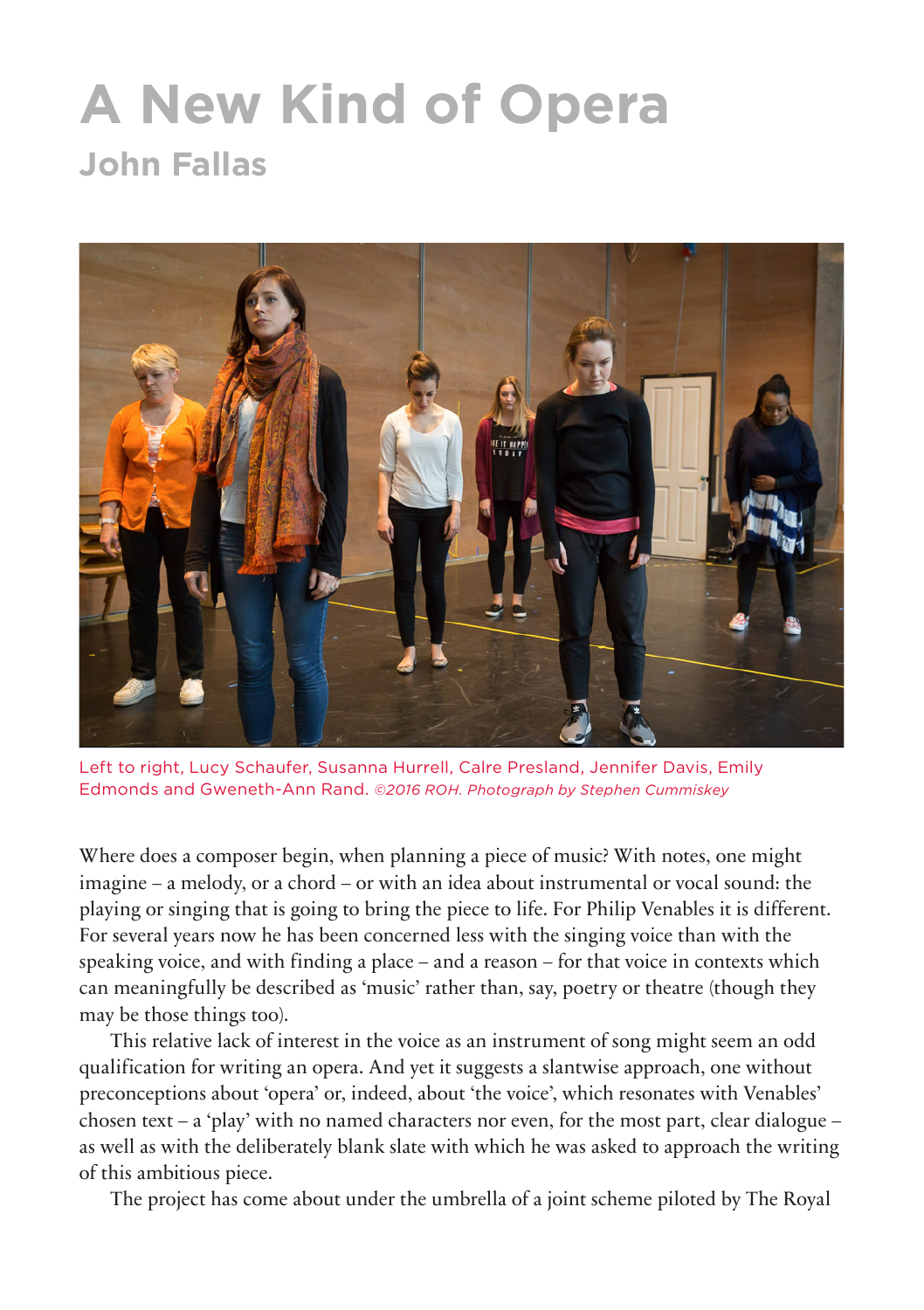## **A New Kind of Opera John Fallas**



Left to right, Lucy Schaufer, Susanna Hurrell, Calre Presland, Jennifer Davis, Emily Edmonds and Gweneth-Ann Rand. *©2016 ROH. Photograph by Stephen Cummiskey*

Where does a composer begin, when planning a piece of music? With notes, one might imagine – a melody, or a chord – or with an idea about instrumental or vocal sound: the playing or singing that is going to bring the piece to life. For Philip Venables it is different. For several years now he has been concerned less with the singing voice than with the speaking voice, and with finding a place – and a reason – for that voice in contexts which can meaningfully be described as 'music' rather than, say, poetry or theatre (though they may be those things too).

This relative lack of interest in the voice as an instrument of song might seem an odd qualification for writing an opera. And yet it suggests a slantwise approach, one without preconceptions about 'opera' or, indeed, about 'the voice', which resonates with Venables' chosen text – a 'play' with no named characters nor even, for the most part, clear dialogue – as well as with the deliberately blank slate with which he was asked to approach the writing of this ambitious piece.

The project has come about under the umbrella of a joint scheme piloted by The Royal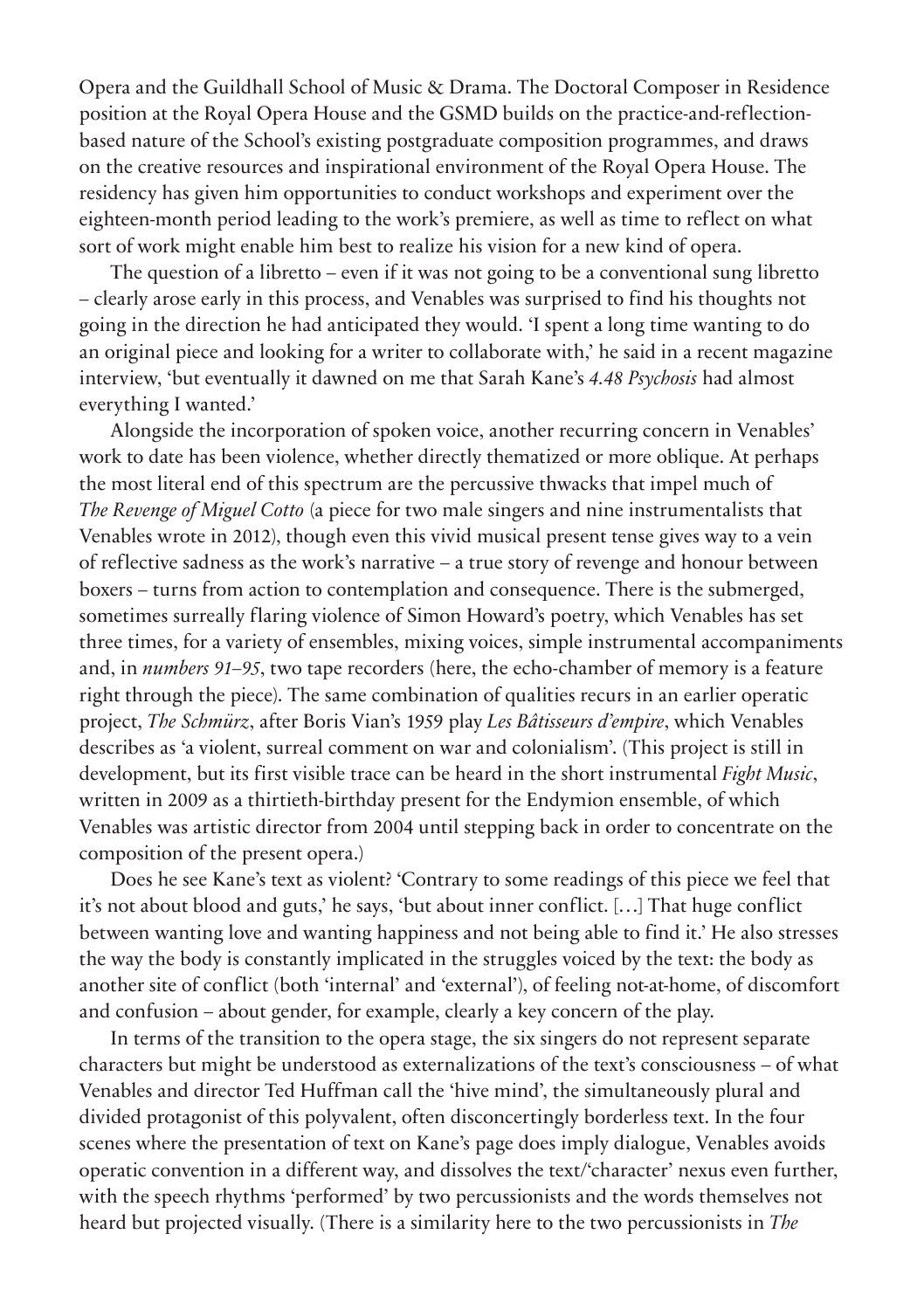Opera and the Guildhall School of Music & Drama. The Doctoral Composer in Residence position at the Royal Opera House and the GSMD builds on the practice-and-reflectionbased nature of the School's existing postgraduate composition programmes, and draws on the creative resources and inspirational environment of the Royal Opera House. The residency has given him opportunities to conduct workshops and experiment over the eighteen-month period leading to the work's premiere, as well as time to reflect on what sort of work might enable him best to realize his vision for a new kind of opera.

The question of a libretto – even if it was not going to be a conventional sung libretto – clearly arose early in this process, and Venables was surprised to find his thoughts not going in the direction he had anticipated they would. 'I spent a long time wanting to do an original piece and looking for a writer to collaborate with,' he said in a recent magazine interview, 'but eventually it dawned on me that Sarah Kane's *4.48 Psychosis* had almost everything I wanted.'

Alongside the incorporation of spoken voice, another recurring concern in Venables' work to date has been violence, whether directly thematized or more oblique. At perhaps the most literal end of this spectrum are the percussive thwacks that impel much of *The Revenge of Miguel Cotto* (a piece for two male singers and nine instrumentalists that Venables wrote in 2012), though even this vivid musical present tense gives way to a vein of reflective sadness as the work's narrative – a true story of revenge and honour between boxers – turns from action to contemplation and consequence. There is the submerged, sometimes surreally flaring violence of Simon Howard's poetry, which Venables has set three times, for a variety of ensembles, mixing voices, simple instrumental accompaniments and, in *numbers 91–95*, two tape recorders (here, the echo-chamber of memory is a feature right through the piece). The same combination of qualities recurs in an earlier operatic project, *The Schmürz*, after Boris Vian's 1959 play *Les Bâtisseurs d'empire*, which Venables describes as 'a violent, surreal comment on war and colonialism'. (This project is still in development, but its first visible trace can be heard in the short instrumental *Fight Music*, written in 2009 as a thirtieth-birthday present for the Endymion ensemble, of which Venables was artistic director from 2004 until stepping back in order to concentrate on the composition of the present opera.)

Does he see Kane's text as violent? 'Contrary to some readings of this piece we feel that it's not about blood and guts,' he says, 'but about inner conflict. […] That huge conflict between wanting love and wanting happiness and not being able to find it.' He also stresses the way the body is constantly implicated in the struggles voiced by the text: the body as another site of conflict (both 'internal' and 'external'), of feeling not-at-home, of discomfort and confusion – about gender, for example, clearly a key concern of the play.

In terms of the transition to the opera stage, the six singers do not represent separate characters but might be understood as externalizations of the text's consciousness – of what Venables and director Ted Huffman call the 'hive mind', the simultaneously plural and divided protagonist of this polyvalent, often disconcertingly borderless text. In the four scenes where the presentation of text on Kane's page does imply dialogue, Venables avoids operatic convention in a different way, and dissolves the text/'character' nexus even further, with the speech rhythms 'performed' by two percussionists and the words themselves not heard but projected visually. (There is a similarity here to the two percussionists in *The*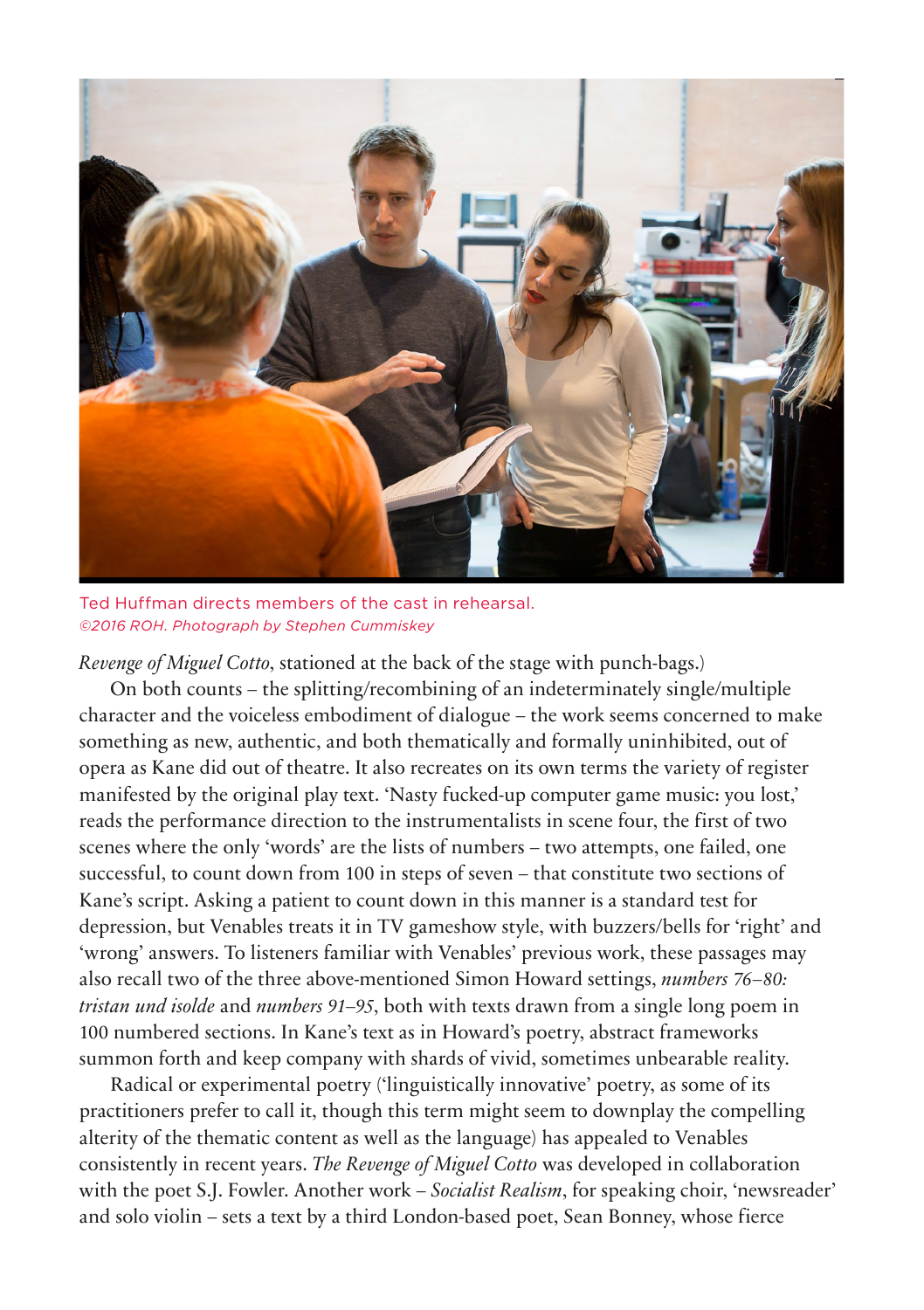

Ted Huffman directs members of the cast in rehearsal. *©2016 ROH. Photograph by Stephen Cummiskey*

*Revenge of Miguel Cotto*, stationed at the back of the stage with punch-bags.)

On both counts – the splitting/recombining of an indeterminately single/multiple character and the voiceless embodiment of dialogue – the work seems concerned to make something as new, authentic, and both thematically and formally uninhibited, out of opera as Kane did out of theatre. It also recreates on its own terms the variety of register manifested by the original play text. 'Nasty fucked-up computer game music: you lost,' reads the performance direction to the instrumentalists in scene four, the first of two scenes where the only 'words' are the lists of numbers – two attempts, one failed, one successful, to count down from 100 in steps of seven – that constitute two sections of Kane's script. Asking a patient to count down in this manner is a standard test for depression, but Venables treats it in TV gameshow style, with buzzers/bells for 'right' and 'wrong' answers. To listeners familiar with Venables' previous work, these passages may also recall two of the three above-mentioned Simon Howard settings, *numbers 76–80: tristan und isolde* and *numbers 91–95*, both with texts drawn from a single long poem in 100 numbered sections. In Kane's text as in Howard's poetry, abstract frameworks summon forth and keep company with shards of vivid, sometimes unbearable reality.

Radical or experimental poetry ('linguistically innovative' poetry, as some of its practitioners prefer to call it, though this term might seem to downplay the compelling alterity of the thematic content as well as the language) has appealed to Venables consistently in recent years. *The Revenge of Miguel Cotto* was developed in collaboration with the poet S.J. Fowler. Another work – *Socialist Realism*, for speaking choir, 'newsreader' and solo violin – sets a text by a third London-based poet, Sean Bonney, whose fierce